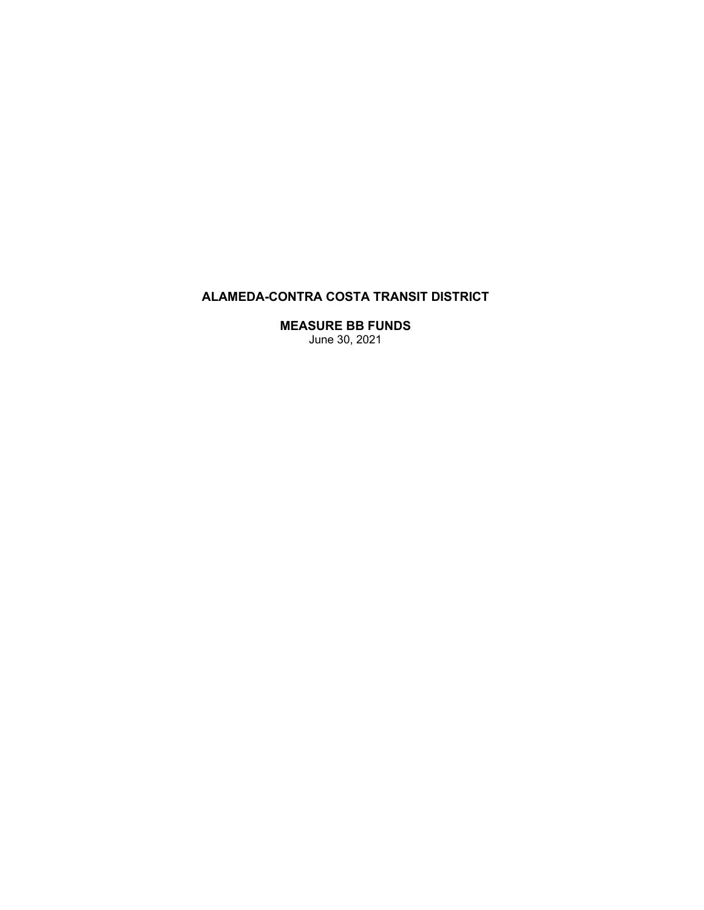# **ALAMEDA-CONTRA COSTA TRANSIT DISTRICT**

**MEASURE BB FUNDS**  June 30, 2021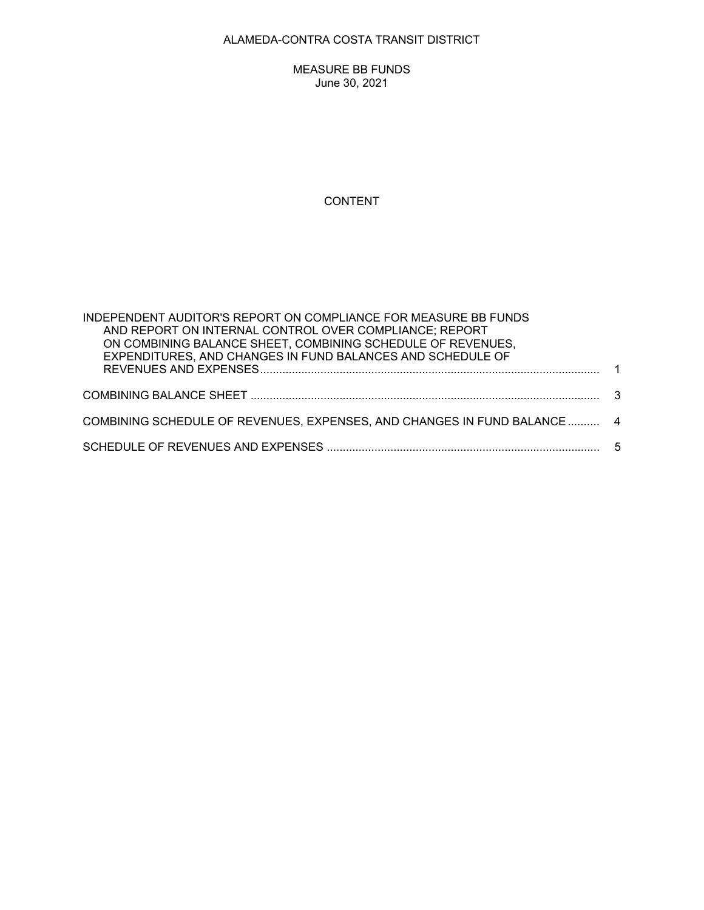## ALAMEDA-CONTRA COSTA TRANSIT DISTRICT

MEASURE BB FUNDS June 30, 2021

## CONTENT

| INDEPENDENT AUDITOR'S REPORT ON COMPLIANCE FOR MEASURE BB FUNDS<br>AND REPORT ON INTERNAL CONTROL OVER COMPLIANCE; REPORT<br>ON COMBINING BALANCE SHEET, COMBINING SCHEDULE OF REVENUES,<br>EXPENDITURES, AND CHANGES IN FUND BALANCES AND SCHEDULE OF |  |
|--------------------------------------------------------------------------------------------------------------------------------------------------------------------------------------------------------------------------------------------------------|--|
|                                                                                                                                                                                                                                                        |  |
|                                                                                                                                                                                                                                                        |  |
| COMBINING SCHEDULE OF REVENUES, EXPENSES, AND CHANGES IN FUND BALANCE  4                                                                                                                                                                               |  |
|                                                                                                                                                                                                                                                        |  |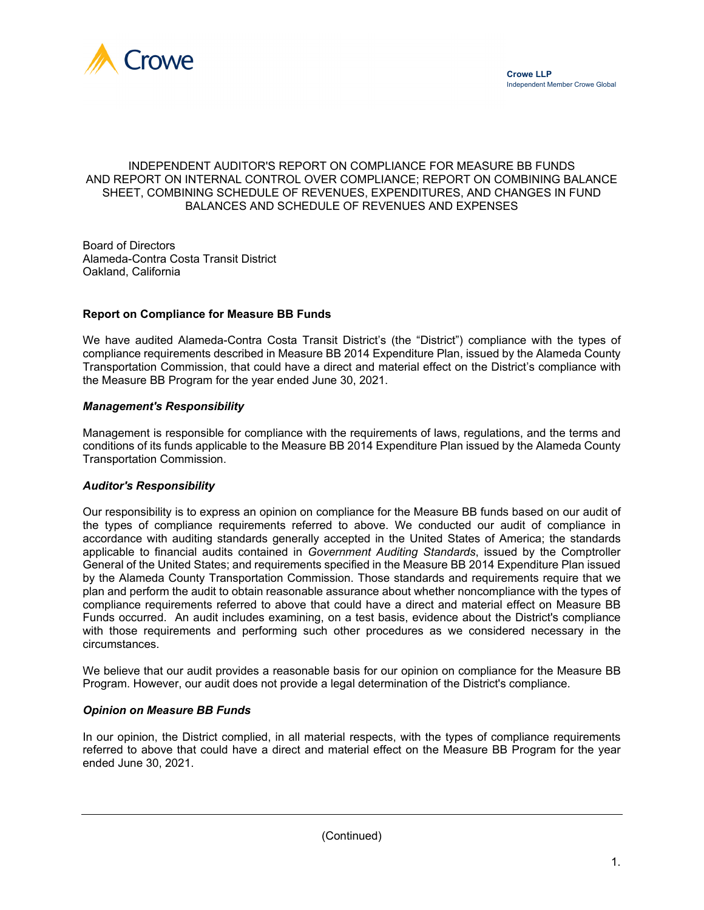

## INDEPENDENT AUDITOR'S REPORT ON COMPLIANCE FOR MEASURE BB FUNDS AND REPORT ON INTERNAL CONTROL OVER COMPLIANCE; REPORT ON COMBINING BALANCE SHEET, COMBINING SCHEDULE OF REVENUES, EXPENDITURES, AND CHANGES IN FUND BALANCES AND SCHEDULE OF REVENUES AND EXPENSES

Board of Directors Alameda-Contra Costa Transit District Oakland, California

## **Report on Compliance for Measure BB Funds**

We have audited Alameda-Contra Costa Transit District's (the "District") compliance with the types of compliance requirements described in Measure BB 2014 Expenditure Plan, issued by the Alameda County Transportation Commission, that could have a direct and material effect on the District's compliance with the Measure BB Program for the year ended June 30, 2021.

#### *Management's Responsibility*

Management is responsible for compliance with the requirements of laws, regulations, and the terms and conditions of its funds applicable to the Measure BB 2014 Expenditure Plan issued by the Alameda County Transportation Commission.

#### *Auditor's Responsibility*

Our responsibility is to express an opinion on compliance for the Measure BB funds based on our audit of the types of compliance requirements referred to above. We conducted our audit of compliance in accordance with auditing standards generally accepted in the United States of America; the standards applicable to financial audits contained in *Government Auditing Standards*, issued by the Comptroller General of the United States; and requirements specified in the Measure BB 2014 Expenditure Plan issued by the Alameda County Transportation Commission. Those standards and requirements require that we plan and perform the audit to obtain reasonable assurance about whether noncompliance with the types of compliance requirements referred to above that could have a direct and material effect on Measure BB Funds occurred. An audit includes examining, on a test basis, evidence about the District's compliance with those requirements and performing such other procedures as we considered necessary in the circumstances.

We believe that our audit provides a reasonable basis for our opinion on compliance for the Measure BB Program. However, our audit does not provide a legal determination of the District's compliance.

#### *Opinion on Measure BB Funds*

In our opinion, the District complied, in all material respects, with the types of compliance requirements referred to above that could have a direct and material effect on the Measure BB Program for the year ended June 30, 2021.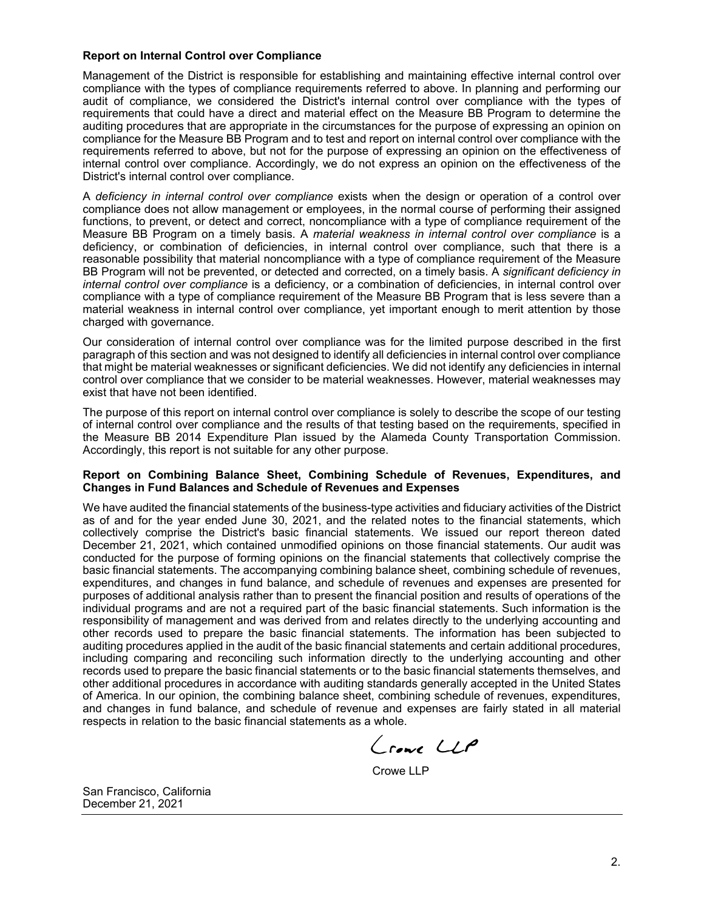#### **Report on Internal Control over Compliance**

Management of the District is responsible for establishing and maintaining effective internal control over compliance with the types of compliance requirements referred to above. In planning and performing our audit of compliance, we considered the District's internal control over compliance with the types of requirements that could have a direct and material effect on the Measure BB Program to determine the auditing procedures that are appropriate in the circumstances for the purpose of expressing an opinion on compliance for the Measure BB Program and to test and report on internal control over compliance with the requirements referred to above, but not for the purpose of expressing an opinion on the effectiveness of internal control over compliance. Accordingly, we do not express an opinion on the effectiveness of the District's internal control over compliance.

A *deficiency in internal control over compliance* exists when the design or operation of a control over compliance does not allow management or employees, in the normal course of performing their assigned functions, to prevent, or detect and correct, noncompliance with a type of compliance requirement of the Measure BB Program on a timely basis. A *material weakness in internal control over compliance* is a deficiency, or combination of deficiencies, in internal control over compliance, such that there is a reasonable possibility that material noncompliance with a type of compliance requirement of the Measure BB Program will not be prevented, or detected and corrected, on a timely basis. A *significant deficiency in internal control over compliance* is a deficiency, or a combination of deficiencies, in internal control over compliance with a type of compliance requirement of the Measure BB Program that is less severe than a material weakness in internal control over compliance, yet important enough to merit attention by those charged with governance.

Our consideration of internal control over compliance was for the limited purpose described in the first paragraph of this section and was not designed to identify all deficiencies in internal control over compliance that might be material weaknesses or significant deficiencies. We did not identify any deficiencies in internal control over compliance that we consider to be material weaknesses. However, material weaknesses may exist that have not been identified.

The purpose of this report on internal control over compliance is solely to describe the scope of our testing of internal control over compliance and the results of that testing based on the requirements, specified in the Measure BB 2014 Expenditure Plan issued by the Alameda County Transportation Commission. Accordingly, this report is not suitable for any other purpose.

#### **Report on Combining Balance Sheet, Combining Schedule of Revenues, Expenditures, and Changes in Fund Balances and Schedule of Revenues and Expenses**

We have audited the financial statements of the business-type activities and fiduciary activities of the District as of and for the year ended June 30, 2021, and the related notes to the financial statements, which collectively comprise the District's basic financial statements. We issued our report thereon dated December 21, 2021, which contained unmodified opinions on those financial statements. Our audit was conducted for the purpose of forming opinions on the financial statements that collectively comprise the basic financial statements. The accompanying combining balance sheet, combining schedule of revenues, expenditures, and changes in fund balance, and schedule of revenues and expenses are presented for purposes of additional analysis rather than to present the financial position and results of operations of the individual programs and are not a required part of the basic financial statements. Such information is the responsibility of management and was derived from and relates directly to the underlying accounting and other records used to prepare the basic financial statements. The information has been subjected to auditing procedures applied in the audit of the basic financial statements and certain additional procedures, including comparing and reconciling such information directly to the underlying accounting and other records used to prepare the basic financial statements or to the basic financial statements themselves, and other additional procedures in accordance with auditing standards generally accepted in the United States of America. In our opinion, the combining balance sheet, combining schedule of revenues, expenditures, and changes in fund balance, and schedule of revenue and expenses are fairly stated in all material respects in relation to the basic financial statements as a whole.

Crowe LLP

Crowe LLP

San Francisco, California December 21, 2021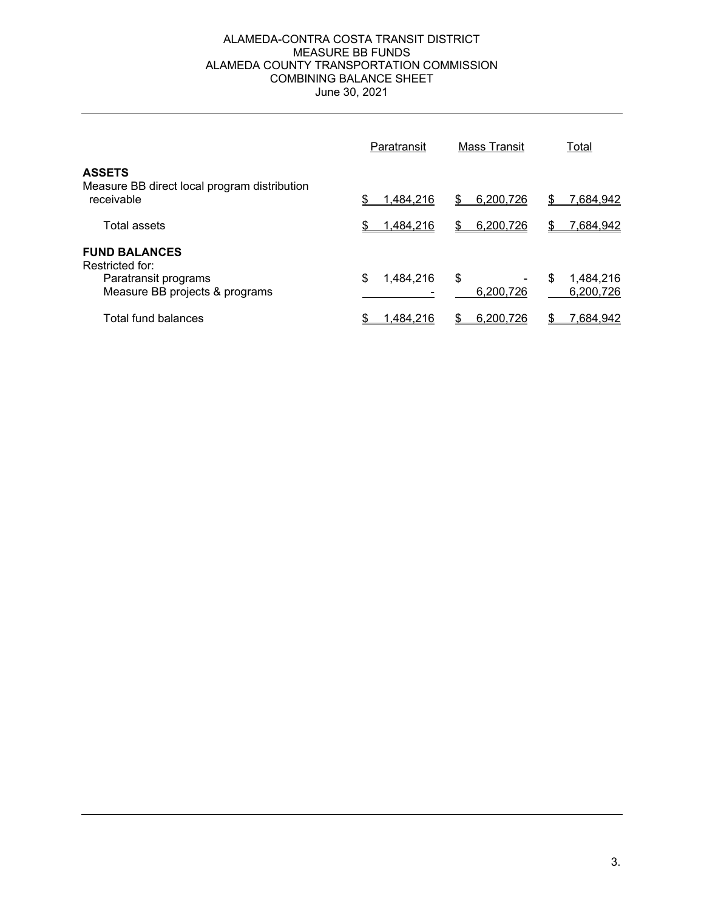## ALAMEDA-CONTRA COSTA TRANSIT DISTRICT MEASURE BB FUNDS ALAMEDA COUNTY TRANSPORTATION COMMISSION COMBINING BALANCE SHEET June 30, 2021

|                                                                             | Paratransit    | <b>Mass Transit</b> | Total                       |
|-----------------------------------------------------------------------------|----------------|---------------------|-----------------------------|
| <b>ASSETS</b><br>Measure BB direct local program distribution<br>receivable | 1,484,216      | 6,200,726<br>\$.    | 7,684,942<br>S              |
| Total assets                                                                | 1,484,216      | \$<br>6.200.726     | 7,684,942<br>S              |
| <b>FUND BALANCES</b><br>Restricted for:                                     |                |                     |                             |
| Paratransit programs<br>Measure BB projects & programs                      | 1,484,216<br>S | \$<br>6.200.726     | S<br>1,484,216<br>6.200.726 |
| Total fund balances                                                         | 1.484.216      | 6.200.726           | 7,684,942                   |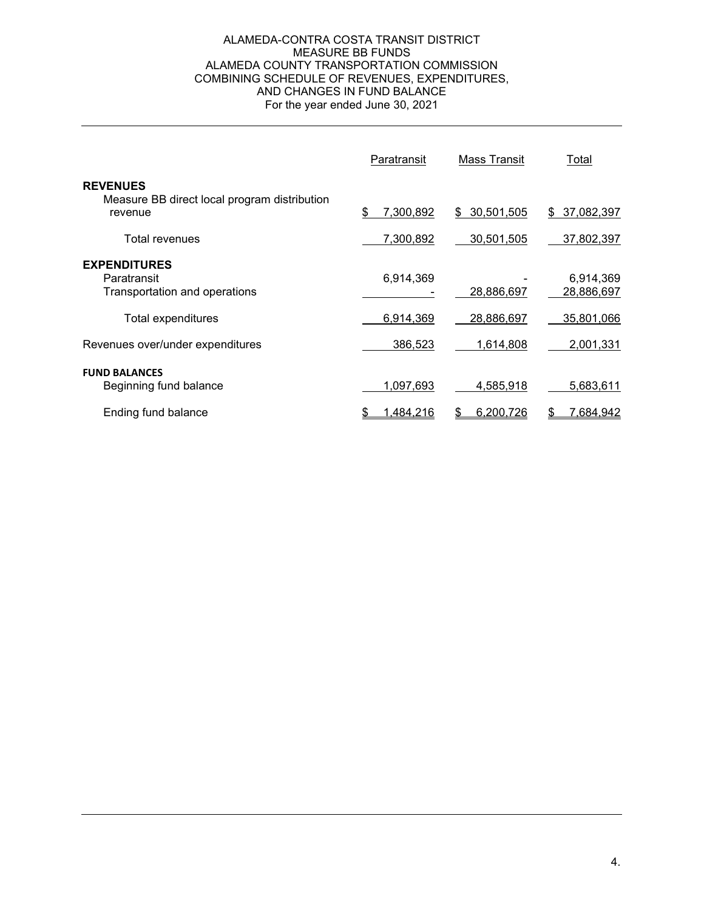#### ALAMEDA-CONTRA COSTA TRANSIT DISTRICT MEASURE BB FUNDS ALAMEDA COUNTY TRANSPORTATION COMMISSION COMBINING SCHEDULE OF REVENUES, EXPENDITURES, AND CHANGES IN FUND BALANCE For the year ended June 30, 2021

|                                                                            | Paratransit      | <b>Mass Transit</b> | Total                   |
|----------------------------------------------------------------------------|------------------|---------------------|-------------------------|
| <b>REVENUES</b><br>Measure BB direct local program distribution<br>revenue | 7,300,892<br>S   | 30,501,505<br>\$    | 37,082,397<br>\$        |
| Total revenues                                                             | 7,300,892        | 30,501,505          | 37,802,397              |
| <b>EXPENDITURES</b><br>Paratransit<br>Transportation and operations        | 6,914,369        | 28,886,697          | 6,914,369<br>28,886,697 |
| Total expenditures                                                         | 6,914,369        | 28,886,697          | 35,801,066              |
| Revenues over/under expenditures                                           | 386,523          | 1,614,808           | 2,001,331               |
| <b>FUND BALANCES</b><br>Beginning fund balance                             | 1,097,693        | 4,585,918           | 5,683,611               |
| Ending fund balance                                                        | <u>1,484,216</u> | 6,200,726           | <u>7,684,942</u>        |